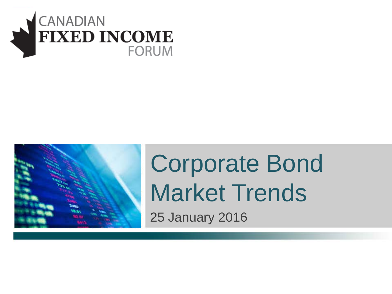



# Corporate Bond Market Trends

25 January 2016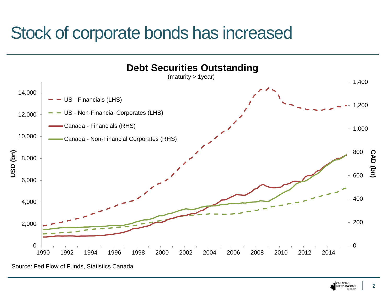# Stock of corporate bonds has increased



Source: Fed Flow of Funds, Statistics Canada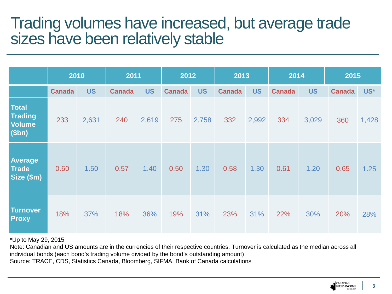### Trading volumes have increased, but average trade sizes have been relatively stable

|                                                   | 2010          |           | 2011          |           | 2012          |           | 2013          |           | 2014          |           | 2015          |       |
|---------------------------------------------------|---------------|-----------|---------------|-----------|---------------|-----------|---------------|-----------|---------------|-----------|---------------|-------|
|                                                   | <b>Canada</b> | <b>US</b> | <b>Canada</b> | <b>US</b> | <b>Canada</b> | <b>US</b> | <b>Canada</b> | <b>US</b> | <b>Canada</b> | <b>US</b> | <b>Canada</b> | US*   |
| <b>Total</b><br><b>Trading</b><br>Volume<br>\$bn) | 233           | 2,631     | 240           | 2,619     | 275           | 2,758     | 332           | 2,992     | 334           | 3,029     | 360           | 1,428 |
| Average<br><b>Trade</b><br>Size (\$m)             | 0.60          | 1.50      | 0.57          | 1.40      | 0.50          | 1.30      | 0.58          | 1.30      | 0.61          | 1.20      | 0.65          | 1.25  |
| <b>Turnover</b><br><b>Proxy</b>                   | 18%           | 37%       | 18%           | 36%       | 19%           | 31%       | 23%           | 31%       | 22%           | 30%       | 20%           | 28%   |

\*Up to May 29, 2015

Note: Canadian and US amounts are in the currencies of their respective countries. Turnover is calculated as the median across all individual bonds (each bond's trading volume divided by the bond's outstanding amount)

Source: TRACE, CDS, Statistics Canada, Bloomberg, SIFMA, Bank of Canada calculations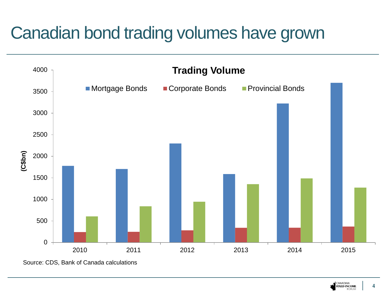# Canadian bond trading volumes have grown



CANADIAN<br>**FIXED-INCOME FORUM**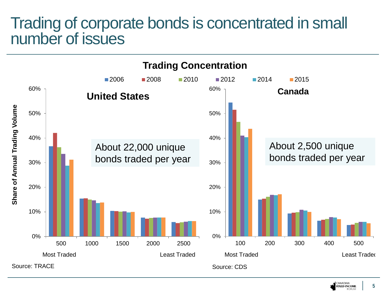#### Trading of corporate bonds is concentrated in small number of issues



#### CANADIAN **5 FIXED-INCOME**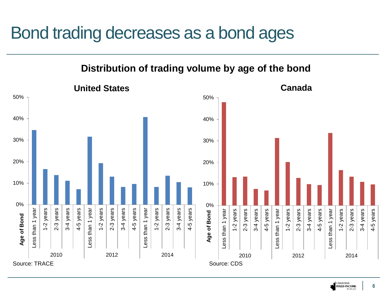## Bond trading decreases as a bond ages





**6**